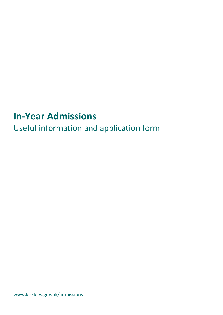# **In-Year Admissions**

Useful information and application form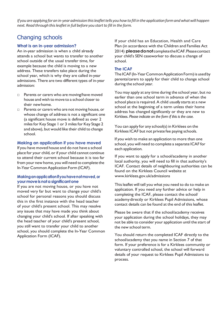*If you areapplyingforan in-yearadmissionthisleaflettellsyou howto fill in the applicationformandwhatwillhappen next. Read through thisleafletin full before you startto fill in the form.*

# Changing schools

#### **What is an in-year admission?**

An in-year admission is when a child already attends a school but wants to transfer to another school outside of the usual transfer time, for example because the child is moving to a new address. These transfers take place during the school year, which is why they are called in-year admissions. There are two different types of in-year admission:

- □ Parents or carers who are moving/have moved house and wish to move to a school closer to their newhome.
- □ Parents or carers who are not moving house, or whose change of address is not a significant one (a significant house move is defined as over 2 miles for Key Stage 1 or 3 miles for Key Stage 2 and above), but would like their child to change school.

#### **Making an application if you have moved**

If you have moved house and do not have a school place for your child, or if your child cannot continue to attend their current school because it is too far from your new home, you will need to complete the In-Year Common Application Form (ICAF).

## **Makinganapplicationifyouhavenotmoved,or yourmoveisnota significantone**

If you are not moving house, or you have not moved very far but want to change your child's school for personal reasons you should discuss this in the first instance with the head teacher of your child's present school. This may resolve any issues that may have made you think about changing your child's school. If after speaking with the head teacher of your child's present school, you still want to transfer your child to another school, you should complete the In-Year Common Application Form (ICAF).

If your child has an Education, Health and Care Plan (in accordance with the Children and Families Act 2014) **pleasedonot**completetheICAF.Pleasecontact your child's SEN caseworker to discuss a change of school.

#### **The ICAF**

The ICAF (In-Year Common Application Form) is used by parents/carers to apply for their child to change school during the school year.

You may apply at any time during the school year, but no earlier than one school term in advance of when the school place is required. A child *usually* starts at a new school at the beginning of a term unless their home address has changed significantly or they are new to Kirklees. *Please indicate on the form if this is the case.*

You can apply for any school(s) in Kirklees on the Kirklees ICAF but not private fee paying schools.

If you wish to make an application to more than one school, you will need to complete a separate ICAF for each application.

If you want to apply for a school/academy in another local authority, you will need to fill in that authority's ICAF. Contact details of neighbouring authorities can be found on the Kirklees Council website at [www.kirklees.gov.uk/admissions](http://www.kirklees.gov.uk/admissions)

This leaflet will tell you what you need to do to make an application. If you need any further advice or help in completing the ICAF, please contact the school/ academydirectly or Kirklees Pupil Admissions, whose contact details can be found at the end of this leaflet.

Please be aware that if the school/academy receives your application during the school holidays, they may not be able to consider your application until the start of the new school term.

You should return the completed ICAF directly to the school/academy that you name in Section 7 of that form. If your preference is for a Kirklees community or voluntary controlled school, the school will forward details of your request to Kirklees Pupil Admissions to process.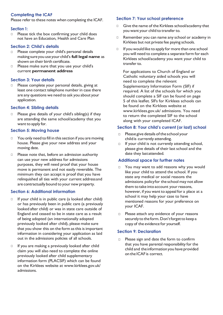# **Completing the ICAF**

Please refer to these notes when completing the ICAF.

#### **Section 1:**

□ Please tick the box confirming your child does not have an Education, Health and Care Plan

### **Section 2: Child's details**

- □ Please complete your child's personal details making sure you use your child's **full legal name** as shown on their birth certificate.
- □ Please make sure that you use your child's current **permanent address**

#### **Section 3: Your details**

□ Please complete your personal details, giving at least one contact telephone number in case there are any questions we need to ask you about your application.

#### **Section 4: Sibling details**

□ Please give details of your child's sibling(s) if they are attending the same school/academy that you want to apply for.

#### **Section 5: Moving house**

- □ You only need to fill in this section if you are moving house. Please give your new address and your moving date.
- □ Please note that, before an admission authority can use your new address for admissions purposes, they will need proof that your house move is permanent and not easily reversible. The minimum they can accept is proof that you have relinquished all ties with your current addressand are contractually bound to your new property.

## **Section 6: Additional information**

- □ If your child is in public care (a looked after child) or has previously been in public care (a previously looked after child) or was in state care outside of England and ceased to be in state care as a result of being adopted (an internationally adopted previously looked after child), please make sure that you show this on the form as this is important information in considering your application as laid out in the admissions policies of all schools.
- □ If you are making a previously looked after child claim you will also need to complete the online previously looked after child supplementary information form (PLACSIF) which can be found on the Kirklees website at [www.kirklees.gov.](http://www.kirklees.gov/)uk/ admissions.

#### **Section 7: Your school preference**

- □ Give the name of the Kirklees school/academy that you want your child to transfer to.
- □ Remember you can name any school or academy in Kirklees but not private fee paying schools.
- □ If you would like to apply for more than one school you will need to complete a separate form for each Kirklees school/academy you want your child to transfer<sub>to.</sub>

For applications to Church of England or Catholic voluntary aided schools you will need to complete the relevant Supplementary Information Form (SIF) if required. A list of the schools for which you should complete a SIF can be found on page 5 of this leaflet. SIFs for Kirklees schools can be found on the Kirklees website at [www.kirklees.gov.](http://www.kirklees.gov/)uk/ admissions. You need to return the completed SIF to the school along with your completed ICAF.

#### **Section 8: Your child's current (or last) school**

- □ Please give details of the school your childis currently attending.
- □ If your child is not currently attending school, please give details of their last school and the date they lastattended.

#### **Additional space for further notes**

- □ You may want to add reasons why you would like your child to attend the school. If you state any medical or social reasons the admissions policyfor the school may not allow them to take into account your reasons, however, if you want to appeal for a place at a school it may help your case to have mentioned reasons for your preference on your ICAF.
- □ Please attach any evidence of your reasons securely to the form. Don't forget to keep a copy of the evidence for yourself.

#### **Section 9: Declaration**

□ Please sign and date the form to confirm that you have parental responsibility for the child and theinformationyou have provided on the ICAF is correct.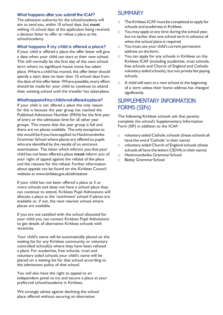## **What happens after you submit the ICAF?**

The admission authority for the school/academy will aim to send you, within 10 school days, but **must**  withing 15 school days of the application being received, a decision letter to offer or refuse a place at the school/academy.

## **What happens if my child is offered a place?**

If your child is offered a place the offer letter will give a date when your child can start at their new school. This will normally be the first day of the next school term where no significant house move has taken place. Where a child has moved, the offer letter should specify a start date no later than 10 school days from the date of the offer letter. Where possible, every effort should be made for your child to continue to attend their existing school until the transfer has takenplace.

#### **Whathappensifmychildisnotofferedaplace?**

If your child is not offered a place the only reason for this is because the year group has reached the Published Admission Number (PAN) for the first year of entry or the admission limit for all other year groups. This means that the year group is full and there are no places available. The only exception to this would be if you have applied to Heckmondwike Grammar School where places are offered to pupils who are identified by the results of an entrance examination. The letter which informs you that your child has not been offered a place **must** inform you of your right of appeal against the refusal of the place and the reasons for the refusal. Further information about appeals can be found on the Kirklees Council website at [www.kirklees.gov.uk/admissions](http://www.kirklees.gov.uk/admissions)

If your child has not been offered a place at 3 or more schools and does not have a school place they can continue to attend, Kirklees Pupil Admissions will allocate a place at the 'catchment' school if places are available or, if not, the next nearest school where places are available.

If you are not satisfied with the school allocated for your child you can contact Kirklees Pupil Admissions to get details of alternative Kirklees schools with vacancies.

Your child's name will be automatically placed on the waiting list for any Kirklees community or voluntary controlled school(s) where they have been refused a place. For academies, free schools, trust and voluntary aided schools your child's name will be placed on a waiting list for that school according to the admissions policy of that school.

You will also have the right to appeal to an independent panel to try and secure a place at your preferred school/academy in Kirklees.

We strongly advise against declining the school place offered without securing an alternative.

# SUMMARY

- The Kirklees ICAF must be completed to apply for schools and academies in Kirklees.
- □ You may apply at any time during the school year, but no earlier than one school term in advance of when the school place is required.
- □ You must use your child's current permanent address on the form.
- □ You can apply for any schools in Kirklees on the Kirklees ICAF (including academies, trust schools, free schools and Church of England and Catholic voluntary aided schools), but not private fee paying schools.
- □ A child will start at a new school at the beginning of a term unless their home address has changed significantly.

# SUPPLEMENTARY INFORMATION FORMS (SIFs)

The following Kirklees schools ask that parents complete the school's Supplementary Information Form (SIF) in addition to the ICAF:

- □ voluntary aided Catholic schools (these schools all have the word 'Catholic' in their name)
- □ voluntary aided Church of England schools (these schools all have the letters CE(VA) in their name)
- □ Heckmondwike GrammarSchool
- □ Batley Grammar School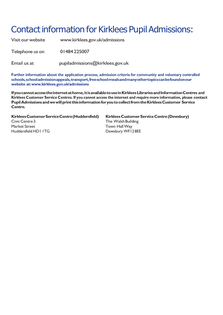# Contact information for Kirklees Pupil Admissions:

Visit our website [www.kirklees.gov.uk/admissions](http://www.kirklees.gov.uk/admissions) Telephone us on 01484 225007 Email us at [pupiladmissions@kirklees.gov.uk](mailto:pupiladmissions@kirklees.gov.uk)

**Further information about the application process, admission criteria for community and voluntary controlled schools,schooladmissionappeals,transport,freeschoolmealsandmanyothertopicscanbefoundonour website at[:www.kirklees.gov.uk/admissions](http://www.kirklees.gov.uk/admissions)**

**Ifyoucannotaccesstheinternetathome,itisavailabletouseinKirkleesLibrariesandInformationCentres and Kirklees Customer Service Centres. If you cannot access the internet and require more information, please contact PupilAdmissionsandwewillprint thisinformationforyoutocollectfromtheKirkleesCustomer Service Centre.**

**KirkleesCustomerServiceCentre(Huddersfield) KirkleesCustomerServiceCentre(Dewsbury)** CivicCentre3 The WalshBuilding Market Street Town Hall Way Huddersfield HD1 ITG Dewsbury WF12 8EE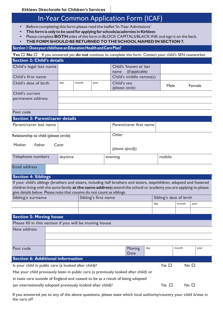# In-Year Common Application Form (ICAF)

- Before completing this form please read the leaflet 'In-Year Admissions'
- **This formisonly tobeused for applyingfor schools/academies inKirklees**
- Please complete **BOTH** sides of this form in BLOCK CAPITALS/BLACK INK and sign it on the back.
- **THEFORM SHOULD BERETURNED TOTHESCHOOLNAMED IN SECTION 7.**

# **Section1:DoesyourchildhaveanEducationHealthandCarePlan?**

**Yes** □ **No** □ If you answered yes **do not** continue to complete this form. Contact your child's SEN caseworker.

| <b>Section 2: Child's details</b>                                      |                                                                                                    |                                        |  |                                                                                    |                                                                                                      |                                                           |     |                        |                                                                                                                                                                                                                                                                                                   |  |  |  |  |
|------------------------------------------------------------------------|----------------------------------------------------------------------------------------------------|----------------------------------------|--|------------------------------------------------------------------------------------|------------------------------------------------------------------------------------------------------|-----------------------------------------------------------|-----|------------------------|---------------------------------------------------------------------------------------------------------------------------------------------------------------------------------------------------------------------------------------------------------------------------------------------------|--|--|--|--|
|                                                                        |                                                                                                    |                                        |  | Child's 'known as' last<br>(if applicable)<br>name                                 |                                                                                                      |                                                           |     |                        |                                                                                                                                                                                                                                                                                                   |  |  |  |  |
|                                                                        |                                                                                                    |                                        |  |                                                                                    |                                                                                                      |                                                           |     |                        |                                                                                                                                                                                                                                                                                                   |  |  |  |  |
| day                                                                    | month                                                                                              | year                                   |  | Child's sex<br>(please circle)                                                     |                                                                                                      |                                                           |     |                        |                                                                                                                                                                                                                                                                                                   |  |  |  |  |
|                                                                        |                                                                                                    |                                        |  |                                                                                    |                                                                                                      |                                                           |     |                        |                                                                                                                                                                                                                                                                                                   |  |  |  |  |
|                                                                        |                                                                                                    |                                        |  |                                                                                    |                                                                                                      |                                                           |     |                        |                                                                                                                                                                                                                                                                                                   |  |  |  |  |
|                                                                        |                                                                                                    |                                        |  |                                                                                    |                                                                                                      |                                                           |     |                        |                                                                                                                                                                                                                                                                                                   |  |  |  |  |
|                                                                        |                                                                                                    |                                        |  |                                                                                    |                                                                                                      |                                                           |     |                        |                                                                                                                                                                                                                                                                                                   |  |  |  |  |
|                                                                        |                                                                                                    |                                        |  |                                                                                    |                                                                                                      |                                                           |     |                        |                                                                                                                                                                                                                                                                                                   |  |  |  |  |
| Parent/carer last name                                                 |                                                                                                    |                                        |  |                                                                                    |                                                                                                      |                                                           |     |                        |                                                                                                                                                                                                                                                                                                   |  |  |  |  |
|                                                                        |                                                                                                    |                                        |  | Other                                                                              |                                                                                                      |                                                           |     |                        |                                                                                                                                                                                                                                                                                                   |  |  |  |  |
| Father<br>Mother<br>Carer                                              |                                                                                                    |                                        |  | (please specify)                                                                   |                                                                                                      |                                                           |     |                        |                                                                                                                                                                                                                                                                                                   |  |  |  |  |
| daytime                                                                |                                                                                                    |                                        |  |                                                                                    | mobile                                                                                               |                                                           |     |                        |                                                                                                                                                                                                                                                                                                   |  |  |  |  |
|                                                                        |                                                                                                    |                                        |  |                                                                                    |                                                                                                      |                                                           |     |                        |                                                                                                                                                                                                                                                                                                   |  |  |  |  |
|                                                                        |                                                                                                    |                                        |  |                                                                                    |                                                                                                      |                                                           |     |                        |                                                                                                                                                                                                                                                                                                   |  |  |  |  |
|                                                                        |                                                                                                    |                                        |  |                                                                                    |                                                                                                      |                                                           |     |                        |                                                                                                                                                                                                                                                                                                   |  |  |  |  |
| give details below. Please note that cousins do not count as siblings. |                                                                                                    |                                        |  |                                                                                    |                                                                                                      |                                                           |     |                        |                                                                                                                                                                                                                                                                                                   |  |  |  |  |
| Sibling's surname                                                      |                                                                                                    |                                        |  |                                                                                    |                                                                                                      |                                                           |     |                        |                                                                                                                                                                                                                                                                                                   |  |  |  |  |
|                                                                        |                                                                                                    |                                        |  |                                                                                    |                                                                                                      |                                                           |     |                        |                                                                                                                                                                                                                                                                                                   |  |  |  |  |
|                                                                        |                                                                                                    |                                        |  |                                                                                    |                                                                                                      |                                                           |     |                        |                                                                                                                                                                                                                                                                                                   |  |  |  |  |
|                                                                        |                                                                                                    |                                        |  |                                                                                    |                                                                                                      |                                                           |     |                        |                                                                                                                                                                                                                                                                                                   |  |  |  |  |
|                                                                        |                                                                                                    |                                        |  |                                                                                    |                                                                                                      |                                                           |     |                        |                                                                                                                                                                                                                                                                                                   |  |  |  |  |
|                                                                        |                                                                                                    |                                        |  |                                                                                    |                                                                                                      |                                                           |     |                        |                                                                                                                                                                                                                                                                                                   |  |  |  |  |
|                                                                        |                                                                                                    |                                        |  |                                                                                    |                                                                                                      |                                                           |     |                        |                                                                                                                                                                                                                                                                                                   |  |  |  |  |
|                                                                        |                                                                                                    |                                        |  |                                                                                    |                                                                                                      |                                                           |     |                        |                                                                                                                                                                                                                                                                                                   |  |  |  |  |
|                                                                        |                                                                                                    |                                        |  | Date                                                                               |                                                                                                      |                                                           |     |                        |                                                                                                                                                                                                                                                                                                   |  |  |  |  |
| <b>Section 6: Additional information</b>                               |                                                                                                    |                                        |  |                                                                                    |                                                                                                      |                                                           |     |                        |                                                                                                                                                                                                                                                                                                   |  |  |  |  |
|                                                                        |                                                                                                    |                                        |  |                                                                                    |                                                                                                      |                                                           |     |                        | Yes $\square$<br>No <sub>1</sub><br>Is your child in public care (a looked after child)?                                                                                                                                                                                                          |  |  |  |  |
|                                                                        |                                                                                                    |                                        |  |                                                                                    |                                                                                                      |                                                           |     |                        |                                                                                                                                                                                                                                                                                                   |  |  |  |  |
|                                                                        |                                                                                                    |                                        |  | Has your child previously been in public care (a previously looked after child) or |                                                                                                      |                                                           |     |                        |                                                                                                                                                                                                                                                                                                   |  |  |  |  |
|                                                                        | Child's legal last name<br>Relationship to child (please circle)<br><b>Section 5: Moving house</b> | <b>Section 3: Parent/carer details</b> |  |                                                                                    | evening<br>Sibling's first name<br>Please fill in this section if you will be moving house<br>Moving | Child's middle names(s)<br>Parent/carer first name<br>day | day | Male<br>month<br>month | Female<br>If your child's siblings (brothers and sisters, including half brothers and sisters, stepchildren, adopted and fostered<br>children living with the same family at the same address) attend the school or academy you are applying to please<br>Sibling's date of birth<br>year<br>year |  |  |  |  |

(an internationally adopted previously looked after child)?  $Y$ es  $\Box$  No  $\Box$ 

If you answered yes to any of the above questions, please state which local authority/country your child is/was in the care of?